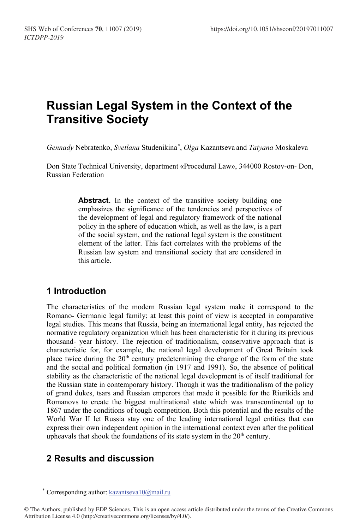# **Russian Legal System in the Context of the Transitive Society**

*Gennady* Nebratenko, *Svetlana* Studenikina[\\*](#page-0-0) , *Olga* Kazantseva and *Tatyana* Moskaleva

Don State Technical University, department «Procedural Law», 344000 Rostov-on- Don, Russian Federation

> Abstract. In the context of the transitive society building one emphasizes the significance of the tendencies and perspectives of the development of legal and regulatory framework of the national policy in the sphere of education which, as well as the law, is a part of the social system, and the national legal system is the constituent element of the latter. This fact correlates with the problems of the Russian law system and transitional society that are considered in this article.

## **1 Introduction**

The characteristics of the modern Russian legal system make it correspond to the Romano- Germanic legal family; at least this point of view is accepted in comparative legal studies. This means that Russia, being an international legal entity, has rejected the normative regulatory organization which has been characteristic for it during its previous thousand- year history. The rejection of traditionalism, conservative approach that is characteristic for, for example, the national legal development of Great Britain took place twice during the 20<sup>th</sup> century predetermining the change of the form of the state and the social and political formation (in 1917 and 1991). So, the absence of political stability as the characteristic of the national legal development is of itself traditional for the Russian state in contemporary history. Though it was the traditionalism of the policy of grand dukes, tsars and Russian emperors that made it possible for the Riurikids and Romanovs to create the biggest multinational state which was transcontinental up to 1867 under the conditions of tough competition. Both this potential and the results of the World War II let Russia stay one of the leading international legal entities that can express their own independent opinion in the international context even after the political upheavals that shook the foundations of its state system in the  $20<sup>th</sup>$  century.

# **2 Results and discussion**

Corresponding author: [kazantseva10@mail.ru](mailto:kazantseva10@mail.ru)

<span id="page-0-0"></span><sup>©</sup> The Authors, published by EDP Sciences. This is an open access article distributed under the terms of the Creative Commons Attribution License 4.0 (http://creativecommons.org/licenses/by/4.0/).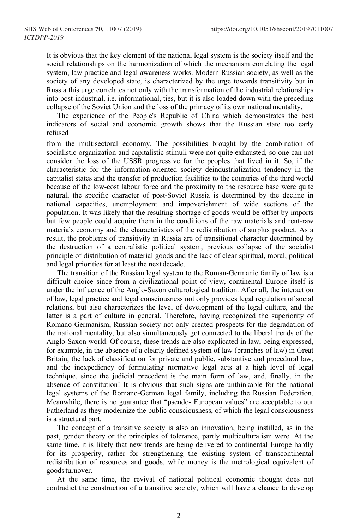It is obvious that the key element of the national legal system is the society itself and the social relationships on the harmonization of which the mechanism correlating the legal system, law practice and legal awareness works. Modern Russian society, as well as the society of any developed state, is characterized by the urge towards transitivity but in Russia this urge correlates not only with the transformation of the industrial relationships into post-industrial, i.e. informational, ties, but it is also loaded down with the preceding collapse of the Soviet Union and the loss of the primacy of its own nationalmentality.

The experience of the People's Republic of China which demonstrates the best indicators of social and economic growth shows that the Russian state too early refused

from the multisectoral economy. The possibilities brought by the combination of socialistic organization and capitalistic stimuli were not quite exhausted, so one can not consider the loss of the USSR progressive for the peoples that lived in it. So, if the characteristic for the information-oriented society deindustrialization tendency in the capitalist states and the transfer of production facilities to the countries of the third world because of the low-cost labour force and the proximity to the resource base were quite natural, the specific character of post-Soviet Russia is determined by the decline in national capacities, unemployment and impoverishment of wide sections of the population. It was likely that the resulting shortage of goods would be offset by imports but few people could acquire them in the conditions of the raw materials and rent-raw materials economy and the characteristics of the redistribution of surplus product. As a result, the problems of transitivity in Russia are of transitional character determined by the destruction of a centralistic political system, previous collapse of the socialist principle of distribution of material goods and the lack of clear spiritual, moral, political and legal priorities for at least the next decade.

The transition of the Russian legal system to the Roman-Germanic family of law is a difficult choice since from a civilizational point of view, continental Europe itself is under the influence of the Anglo-Saxon culturological tradition. After all, the interaction of law, legal practice and legal consciousness not only provides legal regulation of social relations, but also characterizes the level of development of the legal culture, and the latter is a part of culture in general. Therefore, having recognized the superiority of Romano-Germanism, Russian society not only created prospects for the degradation of the national mentality, but also simultaneously got connected to the liberal trends of the Anglo-Saxon world. Of course, these trends are also explicated in law, being expressed, for example, in the absence of a clearly defined system of law (branches of law) in Great Britain, the lack of classification for private and public, substantive and procedural law, and the inexpediency of formulating normative legal acts at a high level of legal technique, since the judicial precedent is the main form of law, and, finally, in the absence of constitution! It is obvious that such signs are unthinkable for the national legal systems of the Romano-German legal family, including the Russian Federation. Meanwhile, there is no guarantee that "pseudo- European values" are acceptable to our Fatherland as they modernize the public consciousness, of which the legal consciousness is a structural part.

The concept of a transitive society is also an innovation, being instilled, as in the past, gender theory or the principles of tolerance, partly multiculturalism were. At the same time, it is likely that new trends are being delivered to continental Europe hardly for its prosperity, rather for strengthening the existing system of transcontinental redistribution of resources and goods, while money is the metrological equivalent of goods turnover.

At the same time, the revival of national political economic thought does not contradict the construction of a transitive society, which will have a chance to develop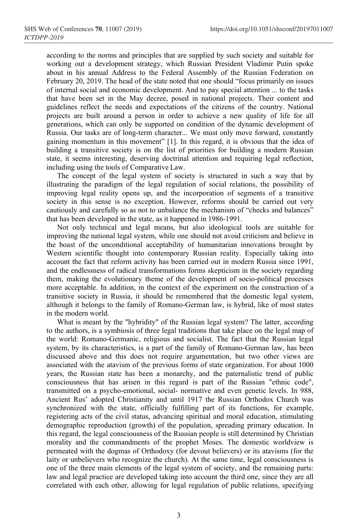according to the norms and principles that are supplied by such society and suitable for working out a development strategy, which Russian President Vladimir Putin spoke about in his annual Address to the Federal Assembly of the Russian Federation on February 20, 2019. The head of the state noted that one should "focus primarily on issues of internal social and economic development. And to pay special attention ... to the tasks that have been set in the May decree, posed in national projects. Their content and guidelines reflect the needs and expectations of the citizens of the country. National projects are built around a person in order to achieve a new quality of life for all generations, which can only be supported on condition of the dynamic development of Russia. Our tasks are of long-term character... We must only move forward, constantly gaining momentum in this movement" [1]. In this regard, it is obvious that the idea of building a transitive society is on the list of priorities for building a modern Russian state, it seems interesting, deserving doctrinal attention and requiring legal reflection, including using the tools of Comparative Law.

The concept of the legal system of society is structured in such a way that by illustrating the paradigm of the legal regulation of social relations, the possibility of improving legal reality opens up, and the incorporation of segments of a transitive society in this sense is no exception. However, reforms should be carried out very cautiously and carefully so as not to unbalance the mechanism of "checks and balances" that has been developed in the state, as it happened in 1986-1991.

Not only technical and legal means, but also ideological tools are suitable for improving the national legal system, while one should not avoid criticism and believe in the boast of the unconditional acceptability of humanitarian innovations brought by Western scientific thought into contemporary Russian reality. Especially taking into account the fact that reform activity has been carried out in modern Russia since 1991, and the endlessness of radical transformations forms skepticism in the society regarding them, making the evolutionary theme of the development of socio-political processes more acceptable. In addition, in the context of the experiment on the construction of a transitive society in Russia, it should be remembered that the domestic legal system, although it belongs to the family of Romano-German law, is hybrid, like of most states in the modern world.

What is meant by the "hybridity" of the Russian legal system? The latter, according to the authors, is a symbiosis of three legal traditions that take place on the legal map of the world: Romano-Germanic, religious and socialist. The fact that the Russian legal system, by its characteristics, is a part of the family of Romano-German law, has been discussed above and this does not require argumentation, but two other views are associated with the atavism of the previous forms of state organization. For about 1000 years, the Russian state has been a monarchy, and the paternalistic trend of public consciousness that has arisen in this regard is part of the Russian "ethnic code", transmitted on a psycho-emotional, social- normative and even genetic levels. In 988, Ancient Rus' adopted Christianity and until 1917 the Russian Orthodox Church was synchronized with the state, officially fulfilling part of its functions, for example, registering acts of the civil status, advancing spiritual and moral education, stimulating demographic reproduction (growth) of the population, spreading primary education. In this regard, the legal consciousness of the Russian people is still determined by Christian morality and the commandments of the prophet Moses. The domestic worldview is permeated with the dogmas of Orthodoxy (for devout believers) or its atavisms (for the laity or unbelievers who recognize the church). At the same time, legal consciousness is one of the three main elements of the legal system of society, and the remaining parts: law and legal practice are developed taking into account the third one, since they are all correlated with each other, allowing for legal regulation of public relations, specifying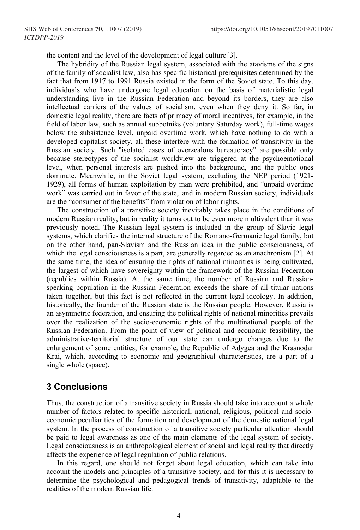the content and the level of the development of legal culture [3].

The hybridity of the Russian legal system, associated with the atavisms of the signs of the family of socialist law, also has specific historical prerequisites determined by the fact that from 1917 to 1991 Russia existed in the form of the Soviet state. To this day, individuals who have undergone legal education on the basis of materialistic legal understanding live in the Russian Federation and beyond its borders, they are also intellectual carriers of the values of socialism, even when they deny it. So far, in domestic legal reality, there are facts of primacy of moral incentives, for example, in the field of labor law, such as annual subbotniks (voluntary Saturday work), full-time wages below the subsistence level, unpaid overtime work, which have nothing to do with a developed capitalist society, all these interfere with the formation of transitivity in the Russian society. Such "isolated cases of overzealous bureaucracy" are possible only because stereotypes of the socialist worldview are triggered at the psychoemotional level, when personal interests are pushed into the background, and the public ones dominate. Meanwhile, in the Soviet legal system, excluding the NEP period (1921- 1929), all forms of human exploitation by man were prohibited, and "unpaid overtime work" was carried out in favor of the state, and in modern Russian society, individuals are the "consumer of the benefits" from violation of labor rights.

The construction of a transitive society inevitably takes place in the conditions of modern Russian reality, but in reality it turns out to be even more multivalent than it was previously noted. The Russian legal system is included in the group of Slavic legal systems, which clarifies the internal structure of the Romano-Germanic legal family, but on the other hand, pan-Slavism and the Russian idea in the public consciousness, of which the legal consciousness is a part, are generally regarded as an anachronism [2]. At the same time, the idea of ensuring the rights of national minorities is being cultivated, the largest of which have sovereignty within the framework of the Russian Federation (republics within Russia). At the same time, the number of Russian and Russianspeaking population in the Russian Federation exceeds the share of all titular nations taken together, but this fact is not reflected in the current legal ideology. In addition, historically, the founder of the Russian state is the Russian people. However, Russia is an asymmetric federation, and ensuring the political rights of national minorities prevails over the realization of the socio-economic rights of the multinational people of the Russian Federation. From the point of view of political and economic feasibility, the administrative-territorial structure of our state can undergo changes due to the enlargement of some entities, for example, the Republic of Adygea and the Krasnodar Krai, which, according to economic and geographical characteristics, are a part of a single whole (space).

#### **3 Conclusions**

Thus, the construction of a transitive society in Russia should take into account a whole number of factors related to specific historical, national, religious, political and socioeconomic peculiarities of the formation and development of the domestic national legal system. In the process of construction of a transitive society particular attention should be paid to legal awareness as one of the main elements of the legal system of society. Legal consciousness is an anthropological element of social and legal reality that directly affects the experience of legal regulation of public relations.

In this regard, one should not forget about legal education, which can take into account the models and principles of a transitive society, and for this it is necessary to determine the psychological and pedagogical trends of transitivity, adaptable to the realities of the modern Russian life.